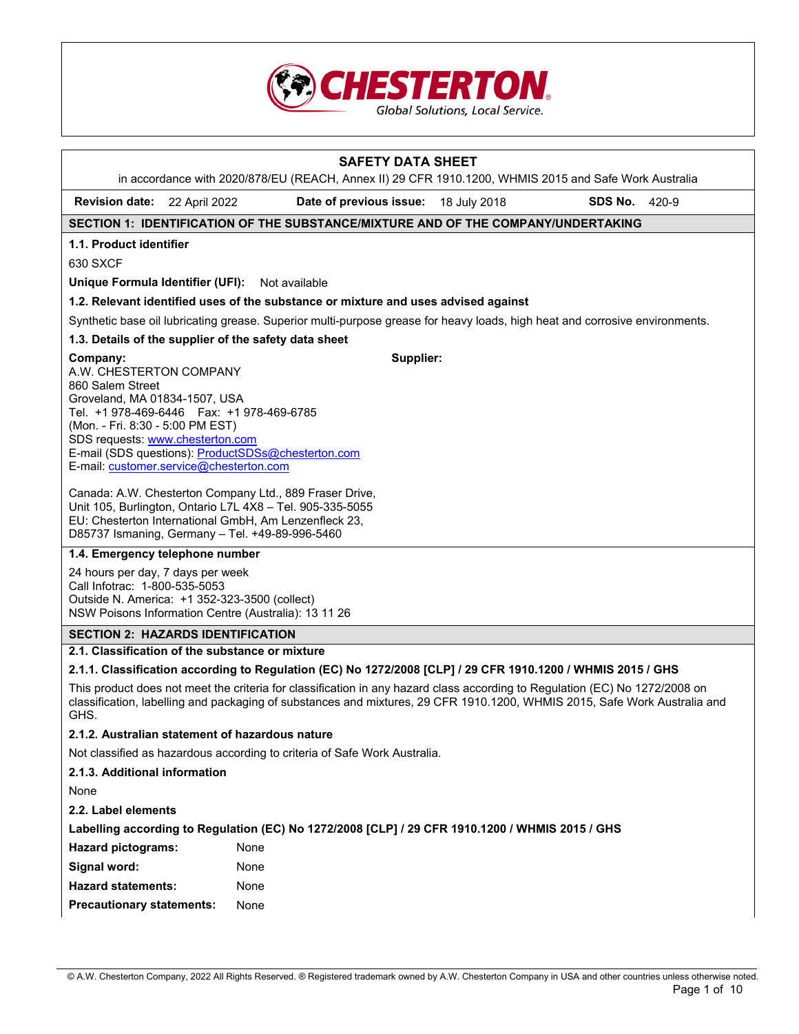

|                                                                                                                              |                                                                                                                                                                                | <b>SAFETY DATA SHEET</b>                                                                                                                                                                                                                         |  |  |  |  |
|------------------------------------------------------------------------------------------------------------------------------|--------------------------------------------------------------------------------------------------------------------------------------------------------------------------------|--------------------------------------------------------------------------------------------------------------------------------------------------------------------------------------------------------------------------------------------------|--|--|--|--|
|                                                                                                                              |                                                                                                                                                                                | in accordance with 2020/878/EU (REACH, Annex II) 29 CFR 1910.1200, WHMIS 2015 and Safe Work Australia                                                                                                                                            |  |  |  |  |
| <b>Revision date:</b>                                                                                                        | 22 April 2022<br>Date of previous issue:<br>18 July 2018<br>SDS No.<br>420-9                                                                                                   |                                                                                                                                                                                                                                                  |  |  |  |  |
|                                                                                                                              |                                                                                                                                                                                | SECTION 1: IDENTIFICATION OF THE SUBSTANCE/MIXTURE AND OF THE COMPANY/UNDERTAKING                                                                                                                                                                |  |  |  |  |
| 1.1. Product identifier                                                                                                      |                                                                                                                                                                                |                                                                                                                                                                                                                                                  |  |  |  |  |
| 630 SXCF                                                                                                                     |                                                                                                                                                                                |                                                                                                                                                                                                                                                  |  |  |  |  |
|                                                                                                                              | Unique Formula Identifier (UFI): Not available                                                                                                                                 |                                                                                                                                                                                                                                                  |  |  |  |  |
|                                                                                                                              |                                                                                                                                                                                | 1.2. Relevant identified uses of the substance or mixture and uses advised against                                                                                                                                                               |  |  |  |  |
|                                                                                                                              |                                                                                                                                                                                | Synthetic base oil lubricating grease. Superior multi-purpose grease for heavy loads, high heat and corrosive environments.                                                                                                                      |  |  |  |  |
|                                                                                                                              | 1.3. Details of the supplier of the safety data sheet                                                                                                                          |                                                                                                                                                                                                                                                  |  |  |  |  |
| Company:<br>A.W. CHESTERTON COMPANY<br>860 Salem Street<br>Groveland, MA 01834-1507, USA<br>(Mon. - Fri. 8:30 - 5:00 PM EST) | Tel. +1 978-469-6446    Fax: +1 978-469-6785<br>SDS requests: www.chesterton.com<br>E-mail: customer.service@chesterton.com<br>D85737 Ismaning, Germany - Tel. +49-89-996-5460 | Supplier:<br>E-mail (SDS questions): ProductSDSs@chesterton.com<br>Canada: A.W. Chesterton Company Ltd., 889 Fraser Drive,<br>Unit 105, Burlington, Ontario L7L 4X8 - Tel. 905-335-5055<br>EU: Chesterton International GmbH, Am Lenzenfleck 23, |  |  |  |  |
|                                                                                                                              | 1.4. Emergency telephone number                                                                                                                                                |                                                                                                                                                                                                                                                  |  |  |  |  |
| 24 hours per day, 7 days per week<br>Call Infotrac: 1-800-535-5053                                                           | Outside N. America: +1 352-323-3500 (collect)<br>NSW Poisons Information Centre (Australia): 13 11 26                                                                          |                                                                                                                                                                                                                                                  |  |  |  |  |
|                                                                                                                              | <b>SECTION 2: HAZARDS IDENTIFICATION</b>                                                                                                                                       |                                                                                                                                                                                                                                                  |  |  |  |  |
|                                                                                                                              | 2.1. Classification of the substance or mixture                                                                                                                                |                                                                                                                                                                                                                                                  |  |  |  |  |
|                                                                                                                              |                                                                                                                                                                                | 2.1.1. Classification according to Regulation (EC) No 1272/2008 [CLP] / 29 CFR 1910.1200 / WHMIS 2015 / GHS                                                                                                                                      |  |  |  |  |

This product does not meet the criteria for classification in any hazard class according to Regulation (EC) No 1272/2008 on classification, labelling and packaging of substances and mixtures, 29 CFR 1910.1200, WHMIS 2015, Safe Work Australia and GHS.

# **2.1.2. Australian statement of hazardous nature**

Not classified as hazardous according to criteria of Safe Work Australia.

**2.1.3. Additional information** 

None

**2.2. Label elements** 

**Labelling according to Regulation (EC) No 1272/2008 [CLP] / 29 CFR 1910.1200 / WHMIS 2015 / GHS** 

| <b>Hazard pictograms:</b>        | None |
|----------------------------------|------|
| Signal word:                     | None |
| <b>Hazard statements:</b>        | None |
| <b>Precautionary statements:</b> | None |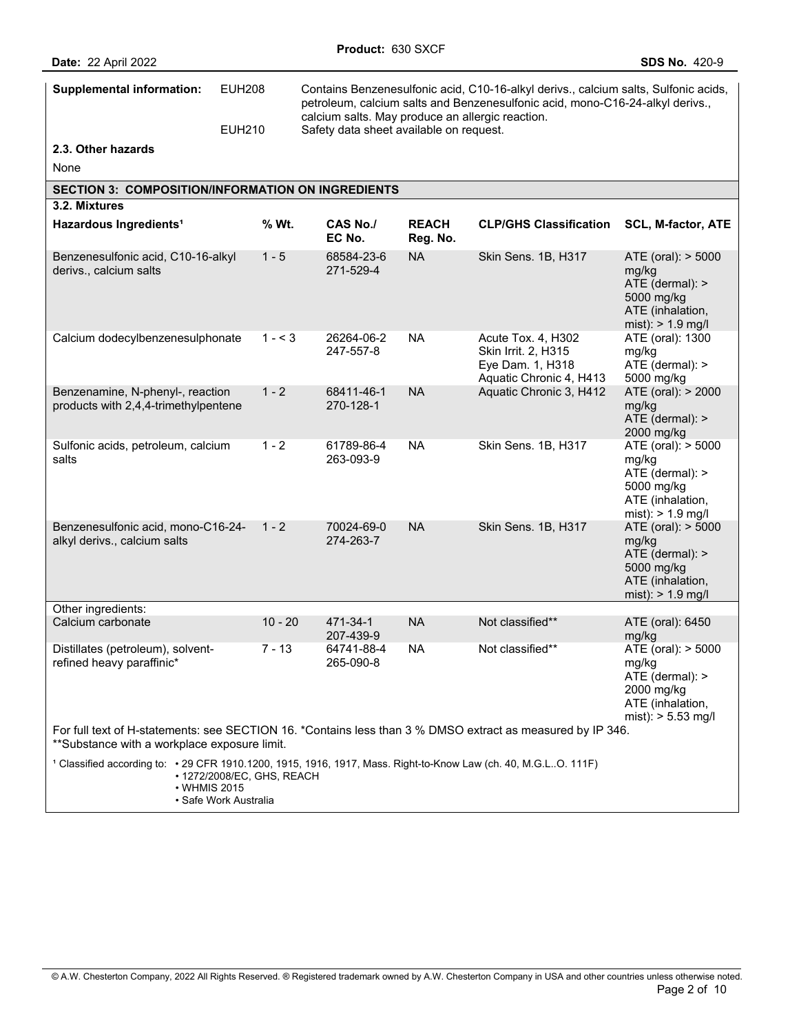| <b>Date: 22 April 2022</b>                                                                                                                                 |                                |                           |                                         |                                                                                                                                                                                                                          | <b>SDS No. 420-9</b>                                                                                     |
|------------------------------------------------------------------------------------------------------------------------------------------------------------|--------------------------------|---------------------------|-----------------------------------------|--------------------------------------------------------------------------------------------------------------------------------------------------------------------------------------------------------------------------|----------------------------------------------------------------------------------------------------------|
| <b>Supplemental information:</b>                                                                                                                           | <b>EUH208</b><br><b>EUH210</b> |                           | Safety data sheet available on request. | Contains Benzenesulfonic acid, C10-16-alkyl derivs., calcium salts, Sulfonic acids,<br>petroleum, calcium salts and Benzenesulfonic acid, mono-C16-24-alkyl derivs.,<br>calcium salts. May produce an allergic reaction. |                                                                                                          |
| 2.3. Other hazards                                                                                                                                         |                                |                           |                                         |                                                                                                                                                                                                                          |                                                                                                          |
|                                                                                                                                                            |                                |                           |                                         |                                                                                                                                                                                                                          |                                                                                                          |
| None                                                                                                                                                       |                                |                           |                                         |                                                                                                                                                                                                                          |                                                                                                          |
| <b>SECTION 3: COMPOSITION/INFORMATION ON INGREDIENTS</b>                                                                                                   |                                |                           |                                         |                                                                                                                                                                                                                          |                                                                                                          |
| 3.2. Mixtures<br>Hazardous Ingredients <sup>1</sup>                                                                                                        | % Wt.                          | <b>CAS No./</b><br>EC No. | <b>REACH</b><br>Reg. No.                | <b>CLP/GHS Classification</b>                                                                                                                                                                                            | <b>SCL, M-factor, ATE</b>                                                                                |
| Benzenesulfonic acid, C10-16-alkyl<br>derivs., calcium salts                                                                                               | $1 - 5$                        | 68584-23-6<br>271-529-4   | <b>NA</b>                               | Skin Sens. 1B, H317                                                                                                                                                                                                      | ATE (oral): > 5000<br>mg/kg<br>ATE (dermal): ><br>5000 mg/kg<br>ATE (inhalation,<br>mist): $> 1.9$ mg/l  |
| Calcium dodecylbenzenesulphonate                                                                                                                           | $1 - 3$                        | 26264-06-2<br>247-557-8   | <b>NA</b>                               | Acute Tox. 4, H302<br>Skin Irrit. 2, H315<br>Eye Dam. 1, H318<br>Aquatic Chronic 4, H413                                                                                                                                 | ATE (oral): 1300<br>mg/kg<br>ATE (dermal): ><br>5000 mg/kg                                               |
| Benzenamine, N-phenyl-, reaction<br>products with 2,4,4-trimethylpentene                                                                                   | $1 - 2$                        | 68411-46-1<br>270-128-1   | <b>NA</b>                               | Aquatic Chronic 3, H412                                                                                                                                                                                                  | ATE (oral): > 2000<br>mg/kg<br>ATE (dermal): ><br>2000 mg/kg                                             |
| Sulfonic acids, petroleum, calcium<br>salts                                                                                                                | $1 - 2$                        | 61789-86-4<br>263-093-9   | <b>NA</b>                               | Skin Sens. 1B, H317                                                                                                                                                                                                      | ATE (oral): > 5000<br>mg/kg<br>ATE (dermal): ><br>5000 mg/kg<br>ATE (inhalation,<br>mist): $> 1.9$ mg/l  |
| Benzenesulfonic acid, mono-C16-24-<br>alkyl derivs., calcium salts                                                                                         | $1 - 2$                        | 70024-69-0<br>274-263-7   | <b>NA</b>                               | Skin Sens. 1B, H317                                                                                                                                                                                                      | ATE (oral): > 5000<br>mg/kg<br>ATE (dermal): ><br>5000 mg/kg<br>ATE (inhalation,<br>mist): $> 1.9$ mg/l  |
| Other ingredients:                                                                                                                                         |                                |                           |                                         |                                                                                                                                                                                                                          |                                                                                                          |
| Calcium carbonate                                                                                                                                          | $10 - 20$                      | 471-34-1<br>207-439-9     | NA                                      | Not classified**                                                                                                                                                                                                         | ATE (oral): 6450<br>mg/kg                                                                                |
| Distillates (petroleum), solvent-<br>refined heavy paraffinic*                                                                                             | $7 - 13$                       | 64741-88-4<br>265-090-8   | <b>NA</b>                               | Not classified**                                                                                                                                                                                                         | ATE (oral): > 5000<br>mg/kg<br>ATE (dermal): ><br>2000 mg/kg<br>ATE (inhalation,<br>mist): $> 5.53$ mg/l |
| For full text of H-statements: see SECTION 16. *Contains less than 3 % DMSO extract as measured by IP 346.<br>**Substance with a workplace exposure limit. |                                |                           |                                         |                                                                                                                                                                                                                          |                                                                                                          |
| 1 Classified according to: • 29 CFR 1910.1200, 1915, 1916, 1917, Mass. Right-to-Know Law (ch. 40, M.G.LO. 111F)<br>• WHMIS 2015                            | • 1272/2008/EC, GHS, REACH     |                           |                                         |                                                                                                                                                                                                                          |                                                                                                          |

**Product:** 630 SXCF

• Safe Work Australia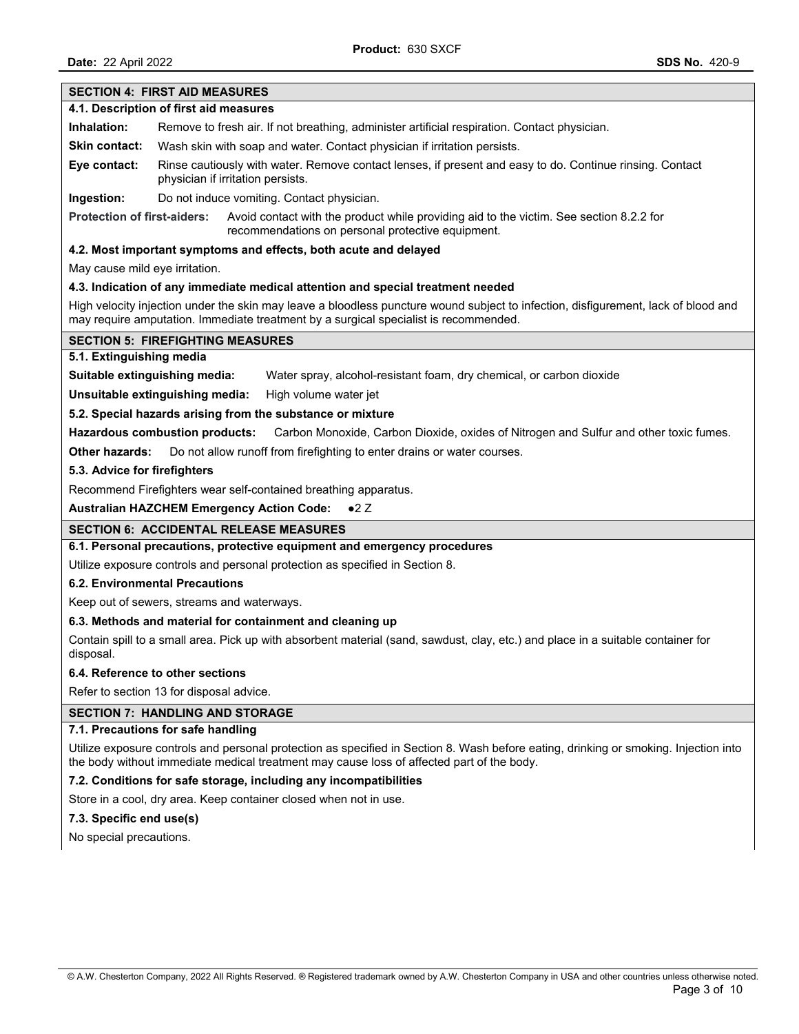# **SECTION 4: FIRST AID MEASURES 4.1. Description of first aid measures Inhalation:** Remove to fresh air. If not breathing, administer artificial respiration. Contact physician. **Skin contact:** Wash skin with soap and water. Contact physician if irritation persists. **Eye contact:** Rinse cautiously with water. Remove contact lenses, if present and easy to do. Continue rinsing. Contact physician if irritation persists. **Ingestion:** Do not induce vomiting. Contact physician. **Protection of first-aiders:** Avoid contact with the product while providing aid to the victim. See section 8.2.2 for recommendations on personal protective equipment. **4.2. Most important symptoms and effects, both acute and delayed** May cause mild eye irritation. **4.3. Indication of any immediate medical attention and special treatment needed** High velocity injection under the skin may leave a bloodless puncture wound subject to infection, disfigurement, lack of blood and may require amputation. Immediate treatment by a surgical specialist is recommended. **SECTION 5: FIREFIGHTING MEASURES 5.1. Extinguishing media Suitable extinguishing media:** Water spray, alcohol-resistant foam, dry chemical, or carbon dioxide **Unsuitable extinguishing media:** High volume water jet **5.2. Special hazards arising from the substance or mixture Hazardous combustion products:** Carbon Monoxide, Carbon Dioxide, oxides of Nitrogen and Sulfur and other toxic fumes. **Other hazards:** Do not allow runoff from firefighting to enter drains or water courses. **5.3. Advice for firefighters**  Recommend Firefighters wear self-contained breathing apparatus. **Australian HAZCHEM Emergency Action Code:** ●2 Z **SECTION 6: ACCIDENTAL RELEASE MEASURES 6.1. Personal precautions, protective equipment and emergency procedures** Utilize exposure controls and personal protection as specified in Section 8. **6.2. Environmental Precautions**  Keep out of sewers, streams and waterways. **6.3. Methods and material for containment and cleaning up** Contain spill to a small area. Pick up with absorbent material (sand, sawdust, clay, etc.) and place in a suitable container for disposal. **6.4. Reference to other sections**  Refer to section 13 for disposal advice. **SECTION 7: HANDLING AND STORAGE 7.1. Precautions for safe handling**  Utilize exposure controls and personal protection as specified in Section 8. Wash before eating, drinking or smoking. Injection into the body without immediate medical treatment may cause loss of affected part of the body. **7.2. Conditions for safe storage, including any incompatibilities** Store in a cool, dry area. Keep container closed when not in use. **7.3. Specific end use(s)**  No special precautions.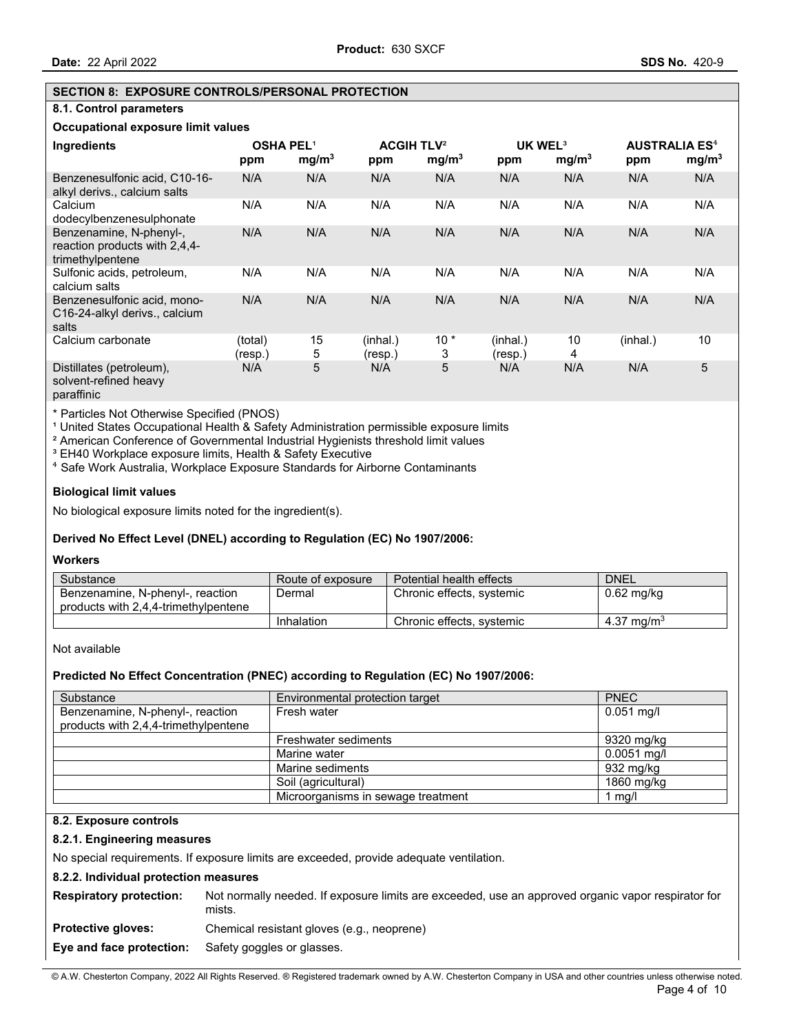#### **SECTION 8: EXPOSURE CONTROLS/PERSONAL PROTECTION**

### **8.1. Control parameters**

# **Occupational exposure limit values**

| Ingredients                                                                  | <b>OSHA PEL1</b><br>ppm | mg/m <sup>3</sup> | <b>ACGIH TLV<sup>2</sup></b><br>ppm | mg/m <sup>3</sup> | UK WEL <sup>3</sup><br>ppm | mg/m <sup>3</sup> | <b>AUSTRALIA ES<sup>4</sup></b><br>ppm | mg/m <sup>3</sup> |
|------------------------------------------------------------------------------|-------------------------|-------------------|-------------------------------------|-------------------|----------------------------|-------------------|----------------------------------------|-------------------|
| Benzenesulfonic acid, C10-16-<br>alkyl derivs., calcium salts                | N/A                     | N/A               | N/A                                 | N/A               | N/A                        | N/A               | N/A                                    | N/A               |
| Calcium<br>dodecylbenzenesulphonate                                          | N/A                     | N/A               | N/A                                 | N/A               | N/A                        | N/A               | N/A                                    | N/A               |
| Benzenamine, N-phenyl-,<br>reaction products with 2,4,4-<br>trimethylpentene | N/A                     | N/A               | N/A                                 | N/A               | N/A                        | N/A               | N/A                                    | N/A               |
| Sulfonic acids, petroleum,<br>calcium salts                                  | N/A                     | N/A               | N/A                                 | N/A               | N/A                        | N/A               | N/A                                    | N/A               |
| Benzenesulfonic acid, mono-<br>C16-24-alkyl derivs., calcium<br>salts        | N/A                     | N/A               | N/A                                 | N/A               | N/A                        | N/A               | N/A                                    | N/A               |
| Calcium carbonate                                                            | (total)<br>(resp.)      | 15<br>5           | (inhal.)<br>(resp.)                 | $10*$<br>3        | (inhal.)<br>(resp.)        | 10<br>4           | (inhal.)                               | 10                |
| Distillates (petroleum),<br>solvent-refined heavy                            | N/A                     | 5                 | N/A                                 | 5                 | N/A                        | N/A               | N/A                                    | 5                 |

paraffinic

\* Particles Not Otherwise Specified (PNOS)

<sup>1</sup> United States Occupational Health & Safety Administration permissible exposure limits

² American Conference of Governmental Industrial Hygienists threshold limit values

<sup>3</sup> EH40 Workplace exposure limits, Health & Safety Executive

⁴ Safe Work Australia, Workplace Exposure Standards for Airborne Contaminants

#### **Biological limit values**

No biological exposure limits noted for the ingredient(s).

# **Derived No Effect Level (DNEL) according to Regulation (EC) No 1907/2006:**

# **Workers**

| Substance                                                                | Route of exposure | Potential health effects  | <b>DNEL</b>            |
|--------------------------------------------------------------------------|-------------------|---------------------------|------------------------|
| Benzenamine, N-phenyl-, reaction<br>products with 2,4,4-trimethylpentene | Dermal            | Chronic effects, systemic | $0.62$ mg/kg           |
|                                                                          | Inhalation        | Chronic effects, systemic | 4.37 mg/m <sup>3</sup> |

Not available

#### **Predicted No Effect Concentration (PNEC) according to Regulation (EC) No 1907/2006:**

| Substance                                                                | Environmental protection target    | <b>PNEC</b>   |
|--------------------------------------------------------------------------|------------------------------------|---------------|
| Benzenamine, N-phenyl-, reaction<br>products with 2,4,4-trimethylpentene | Fresh water                        | $0.051$ mg/l  |
|                                                                          | Freshwater sediments               | 9320 mg/kg    |
|                                                                          | Marine water                       | $0.0051$ mg/l |
|                                                                          | Marine sediments                   | 932 mg/kg     |
|                                                                          | Soil (agricultural)                | 1860 mg/kg    |
|                                                                          | Microorganisms in sewage treatment | l mg/l        |

### **8.2. Exposure controls**

### **8.2.1. Engineering measures**

No special requirements. If exposure limits are exceeded, provide adequate ventilation.

#### **8.2.2. Individual protection measures**

**Respiratory protection:** Not normally needed. If exposure limits are exceeded, use an approved organic vapor respirator for mists.

**Protective gloves:** Chemical resistant gloves (e.g., neoprene)

#### **Eye and face protection:** Safety goggles or glasses.

© A.W. Chesterton Company, 2022 All Rights Reserved. ® Registered trademark owned by A.W. Chesterton Company in USA and other countries unless otherwise noted.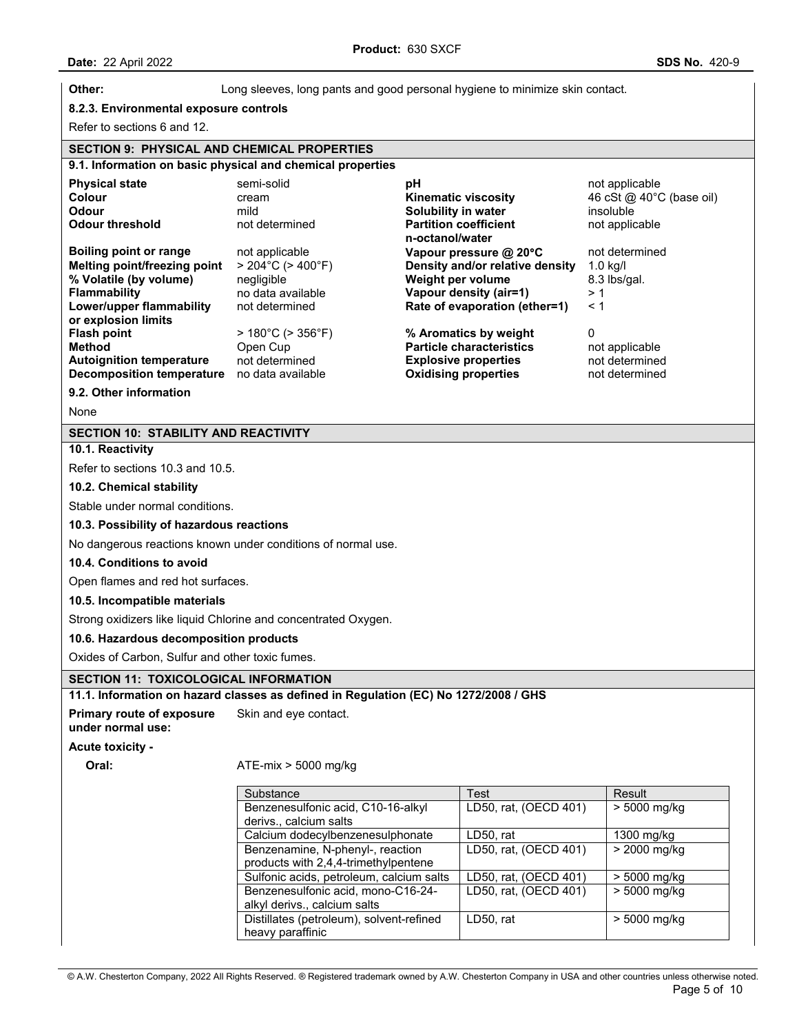| Other:                                                        | Long sleeves, long pants and good personal hygiene to minimize skin contact.         |                                                           |                                            |
|---------------------------------------------------------------|--------------------------------------------------------------------------------------|-----------------------------------------------------------|--------------------------------------------|
| 8.2.3. Environmental exposure controls                        |                                                                                      |                                                           |                                            |
| Refer to sections 6 and 12.                                   |                                                                                      |                                                           |                                            |
| <b>SECTION 9: PHYSICAL AND CHEMICAL PROPERTIES</b>            |                                                                                      |                                                           |                                            |
|                                                               | 9.1. Information on basic physical and chemical properties                           |                                                           |                                            |
| <b>Physical state</b><br>Colour                               | semi-solid<br>рH<br>cream                                                            | <b>Kinematic viscosity</b>                                | not applicable<br>46 cSt @ 40°C (base oil) |
| <b>Odour</b>                                                  | mild                                                                                 | Solubility in water                                       | insoluble                                  |
| <b>Odour threshold</b>                                        | not determined                                                                       | <b>Partition coefficient</b><br>n-octanol/water           | not applicable<br>not determined           |
| <b>Boiling point or range</b><br>Melting point/freezing point | not applicable<br>$> 204^{\circ}$ C ( $> 400^{\circ}$ F)                             | Vapour pressure @ 20°C<br>Density and/or relative density | $1.0$ kg/l                                 |
| % Volatile (by volume)                                        | negligible                                                                           | Weight per volume                                         | 8.3 lbs/gal.                               |
| <b>Flammability</b>                                           | no data available                                                                    | Vapour density (air=1)                                    | >1                                         |
| Lower/upper flammability                                      | not determined                                                                       | Rate of evaporation (ether=1)                             | $\leq 1$                                   |
| or explosion limits                                           |                                                                                      |                                                           |                                            |
| <b>Flash point</b><br><b>Method</b>                           | $>180^{\circ}$ C ( $>356^{\circ}$ F)<br>Open Cup                                     | % Aromatics by weight<br><b>Particle characteristics</b>  | 0<br>not applicable                        |
| <b>Autoignition temperature</b>                               | not determined                                                                       | <b>Explosive properties</b>                               | not determined                             |
| Decomposition temperature no data available                   |                                                                                      | <b>Oxidising properties</b>                               | not determined                             |
| 9.2. Other information                                        |                                                                                      |                                                           |                                            |
| None                                                          |                                                                                      |                                                           |                                            |
| SECTION 10: STABILITY AND REACTIVITY                          |                                                                                      |                                                           |                                            |
| 10.1. Reactivity                                              |                                                                                      |                                                           |                                            |
| Refer to sections 10.3 and 10.5.                              |                                                                                      |                                                           |                                            |
| 10.2. Chemical stability                                      |                                                                                      |                                                           |                                            |
| Stable under normal conditions.                               |                                                                                      |                                                           |                                            |
|                                                               |                                                                                      |                                                           |                                            |
| 10.3. Possibility of hazardous reactions                      |                                                                                      |                                                           |                                            |
|                                                               | No dangerous reactions known under conditions of normal use.                         |                                                           |                                            |
| 10.4. Conditions to avoid                                     |                                                                                      |                                                           |                                            |
| Open flames and red hot surfaces.                             |                                                                                      |                                                           |                                            |
| 10.5. Incompatible materials                                  |                                                                                      |                                                           |                                            |
|                                                               | Strong oxidizers like liquid Chlorine and concentrated Oxygen.                       |                                                           |                                            |
| 10.6. Hazardous decomposition products                        |                                                                                      |                                                           |                                            |
| Oxides of Carbon, Sulfur and other toxic fumes.               |                                                                                      |                                                           |                                            |
|                                                               |                                                                                      |                                                           |                                            |
| <b>SECTION 11: TOXICOLOGICAL INFORMATION</b>                  |                                                                                      |                                                           |                                            |
|                                                               | 11.1. Information on hazard classes as defined in Regulation (EC) No 1272/2008 / GHS |                                                           |                                            |
| <b>Primary route of exposure</b><br>under normal use:         | Skin and eye contact.                                                                |                                                           |                                            |
| <b>Acute toxicity -</b>                                       |                                                                                      |                                                           |                                            |
| Oral:                                                         | $ATE-mix > 5000$ mg/kg                                                               |                                                           |                                            |
|                                                               | Substance                                                                            | Test                                                      | Result                                     |
|                                                               | Benzenesulfonic acid, C10-16-alkyl<br>derivs., calcium salts                         | LD50, rat, (OECD 401)                                     | $> 5000$ mg/kg                             |
|                                                               | Calcium dodecylbenzenesulphonate                                                     | LD50, rat                                                 | 1300 mg/kg                                 |
|                                                               | Benzenamine, N-phenyl-, reaction<br>products with 2,4,4-trimethylpentene             | LD50, rat, (OECD 401)                                     | > 2000 mg/kg                               |
|                                                               | Sulfonic acids, petroleum, calcium salts                                             | LD50, rat, (OECD 401)                                     | $\overline{>}5000$ mg/kg                   |
|                                                               | Benzenesulfonic acid, mono-C16-24-                                                   | LD50, rat, (OECD 401)                                     | > 5000 mg/kg                               |
|                                                               | alkyl derivs., calcium salts                                                         | LD50, rat                                                 | $> 5000$ mg/kg                             |
|                                                               | Distillates (petroleum), solvent-refined<br>heavy paraffinic                         |                                                           |                                            |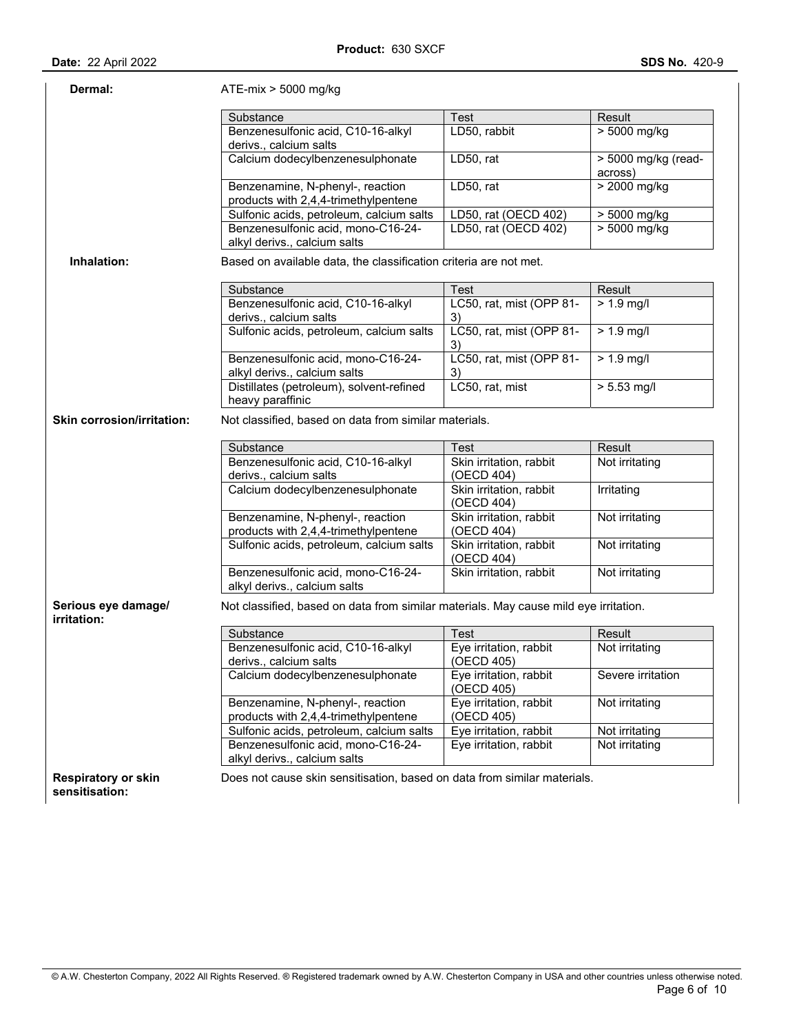| <b>Date: 22 April 2022</b> |  |  |
|----------------------------|--|--|
|                            |  |  |

| Dermal:                            | $ATE-mix > 5000$ mg/kg                                                               |                                       |                                |
|------------------------------------|--------------------------------------------------------------------------------------|---------------------------------------|--------------------------------|
|                                    | Substance                                                                            | Test                                  | Result                         |
|                                    | Benzenesulfonic acid, C10-16-alkyl<br>derivs., calcium salts                         | LD50, rabbit                          | $> 5000$ mg/kg                 |
|                                    | Calcium dodecylbenzenesulphonate                                                     | LD50, rat                             | > 5000 mg/kg (read-<br>across) |
|                                    | Benzenamine, N-phenyl-, reaction<br>products with 2,4,4-trimethylpentene             | LD50, rat                             | $> 2000$ mg/kg                 |
|                                    | Sulfonic acids, petroleum, calcium salts                                             | LD50, rat (OECD 402)                  | $> 5000$ mg/kg                 |
|                                    | Benzenesulfonic acid, mono-C16-24-<br>alkyl derivs., calcium salts                   | LD50, rat (OECD 402)                  | $> 5000$ mg/kg                 |
| Inhalation:                        | Based on available data, the classification criteria are not met.                    |                                       |                                |
|                                    | Substance                                                                            | Test                                  | Result                         |
|                                    | Benzenesulfonic acid, C10-16-alkyl<br>derivs., calcium salts                         | LC50, rat, mist (OPP 81-<br>3)        | $> 1.9$ mg/l                   |
|                                    | Sulfonic acids, petroleum, calcium salts                                             | LC50, rat, mist (OPP 81-<br>3)        | $> 1.9$ mg/l                   |
|                                    | Benzenesulfonic acid, mono-C16-24-<br>alkyl derivs., calcium salts                   | LC50, rat, mist (OPP 81-<br>3)        | $> 1.9$ mg/l                   |
|                                    | Distillates (petroleum), solvent-refined<br>heavy paraffinic                         | LC50, rat, mist                       | $> 5.53$ mg/l                  |
| <b>Skin corrosion/irritation:</b>  | Not classified, based on data from similar materials.                                |                                       |                                |
|                                    | Substance                                                                            | Test                                  | Result                         |
|                                    | Benzenesulfonic acid, C10-16-alkyl<br>derivs., calcium salts                         | Skin irritation, rabbit<br>(OECD 404) | Not irritating                 |
|                                    | Calcium dodecylbenzenesulphonate                                                     | Skin irritation, rabbit<br>(OECD 404) | Irritating                     |
|                                    | Benzenamine, N-phenyl-, reaction<br>products with 2,4,4-trimethylpentene             | Skin irritation, rabbit<br>(OECD 404) | Not irritating                 |
|                                    | Sulfonic acids, petroleum, calcium salts                                             | Skin irritation, rabbit<br>(OECD 404) | Not irritating                 |
|                                    | Benzenesulfonic acid, mono-C16-24-<br>alkyl derivs., calcium salts                   | Skin irritation, rabbit               | Not irritating                 |
| Serious eye damage/<br>irritation: | Not classified, based on data from similar materials. May cause mild eye irritation. |                                       |                                |
|                                    | Substance                                                                            | Test                                  | Result                         |
|                                    | Benzenesulfonic acid, C10-16-alkyl<br>derivs., calcium salts                         | Eye irritation, rabbit<br>(OECD 405)  | Not irritating                 |
|                                    | Calcium dodecylbenzenesulphonate                                                     | Eye irritation, rabbit                | Severe irritation              |
|                                    |                                                                                      | (OECD 405)                            |                                |
|                                    | Benzenamine, N-phenyl-, reaction<br>products with 2,4,4-trimethylpentene             | Eye irritation, rabbit<br>(OECD 405)  | Not irritating                 |
|                                    | Sulfonic acids, petroleum, calcium salts                                             | Eye irritation, rabbit                | Not irritating                 |
|                                    | Benzenesulfonic acid, mono-C16-24-<br>alkyl derivs., calcium salts                   | Eye irritation, rabbit                | Not irritating                 |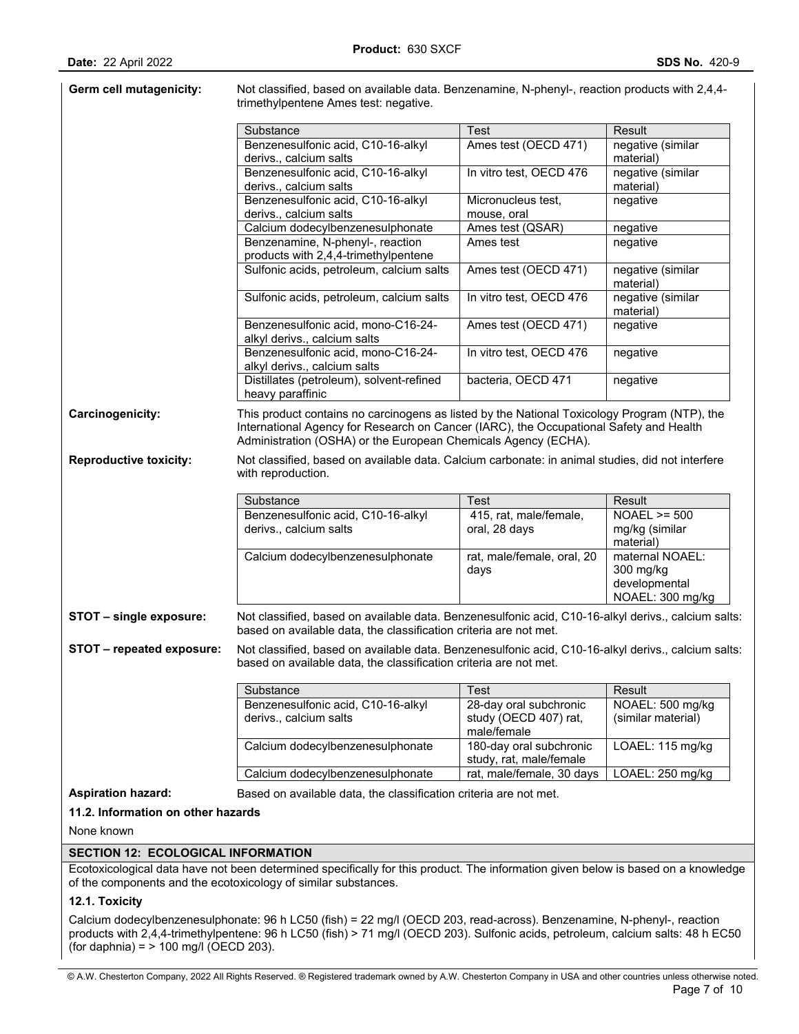|                               | trimethylpentene Ames test: negative.                                                                                                                                                    |                                                                               |                                                  |
|-------------------------------|------------------------------------------------------------------------------------------------------------------------------------------------------------------------------------------|-------------------------------------------------------------------------------|--------------------------------------------------|
|                               | Substance                                                                                                                                                                                | Test                                                                          | Result                                           |
|                               | Benzenesulfonic acid, C10-16-alkyl                                                                                                                                                       | Ames test (OECD 471)                                                          | negative (similar                                |
|                               | derivs., calcium salts                                                                                                                                                                   |                                                                               | material)                                        |
|                               | Benzenesulfonic acid, C10-16-alkyl<br>derivs., calcium salts                                                                                                                             | In vitro test, OECD 476                                                       | negative (similar<br>material)                   |
|                               | Benzenesulfonic acid, C10-16-alkyl                                                                                                                                                       | Micronucleus test,                                                            | negative                                         |
|                               | derivs., calcium salts                                                                                                                                                                   | mouse, oral                                                                   |                                                  |
|                               | Calcium dodecylbenzenesulphonate                                                                                                                                                         | Ames test (QSAR)                                                              | negative                                         |
|                               | Benzenamine, N-phenyl-, reaction<br>products with 2,4,4-trimethylpentene                                                                                                                 | Ames test                                                                     | negative                                         |
|                               | Sulfonic acids, petroleum, calcium salts                                                                                                                                                 | Ames test (OECD 471)                                                          | negative (similar<br>material)                   |
|                               | Sulfonic acids, petroleum, calcium salts                                                                                                                                                 | In vitro test, OECD 476                                                       | negative (similar<br>material)                   |
|                               | Benzenesulfonic acid, mono-C16-24-<br>alkyl derivs., calcium salts                                                                                                                       | Ames test (OECD 471)                                                          | negative                                         |
|                               | Benzenesulfonic acid, mono-C16-24-<br>alkyl derivs., calcium salts                                                                                                                       | In vitro test, OECD 476                                                       | negative                                         |
|                               | Distillates (petroleum), solvent-refined<br>heavy paraffinic                                                                                                                             | bacteria, OECD 471                                                            | negative                                         |
| <b>Reproductive toxicity:</b> | Administration (OSHA) or the European Chemicals Agency (ECHA).<br>Not classified, based on available data. Calcium carbonate: in animal studies, did not interfere<br>with reproduction. |                                                                               |                                                  |
|                               | Substance                                                                                                                                                                                | Test                                                                          | Result                                           |
|                               | Benzenesulfonic acid, C10-16-alkyl<br>derivs., calcium salts                                                                                                                             | 415, rat, male/female,<br>oral, 28 days                                       | $NOAEL \ge 500$<br>mg/kg (similar<br>material)   |
|                               | Calcium dodecylbenzenesulphonate                                                                                                                                                         | rat, male/female, oral, 20<br>days                                            | maternal NOAEL:<br>300 mg/kg<br>developmental    |
|                               |                                                                                                                                                                                          |                                                                               | NOAEL: 300 mg/kg                                 |
| STOT - single exposure:       | Not classified, based on available data. Benzenesulfonic acid, C10-16-alkyl derivs., calcium salts:<br>based on available data, the classification criteria are not met.                 |                                                                               |                                                  |
| STOT - repeated exposure:     | Not classified, based on available data. Benzenesulfonic acid, C10-16-alkyl derivs., calcium salts:<br>based on available data, the classification criteria are not met.                 |                                                                               |                                                  |
|                               |                                                                                                                                                                                          |                                                                               |                                                  |
|                               | Substance<br>Benzenesulfonic acid, C10-16-alkyl<br>derivs., calcium salts                                                                                                                | <b>Test</b><br>28-day oral subchronic<br>study (OECD 407) rat,<br>male/female | Result<br>NOAEL: 500 mg/kg<br>(similar material) |
|                               | Calcium dodecylbenzenesulphonate                                                                                                                                                         | 180-day oral subchronic                                                       | LOAEL: 115 mg/kg                                 |
|                               | Calcium dodecylbenzenesulphonate                                                                                                                                                         | study, rat, male/female<br>rat, male/female, 30 days                          | LOAEL: 250 mg/kg                                 |

# **11.2. Information on other hazards**

None known

### **SECTION 12: ECOLOGICAL INFORMATION**

Ecotoxicological data have not been determined specifically for this product. The information given below is based on a knowledge of the components and the ecotoxicology of similar substances.

### **12.1. Toxicity**

Calcium dodecylbenzenesulphonate: 96 h LC50 (fish) = 22 mg/l (OECD 203, read-across). Benzenamine, N-phenyl-, reaction products with 2,4,4-trimethylpentene: 96 h LC50 (fish) > 71 mg/l (OECD 203). Sulfonic acids, petroleum, calcium salts: 48 h EC50 (for daphnia) = > 100 mg/l (OECD 203).

© A.W. Chesterton Company, 2022 All Rights Reserved. ® Registered trademark owned by A.W. Chesterton Company in USA and other countries unless otherwise noted.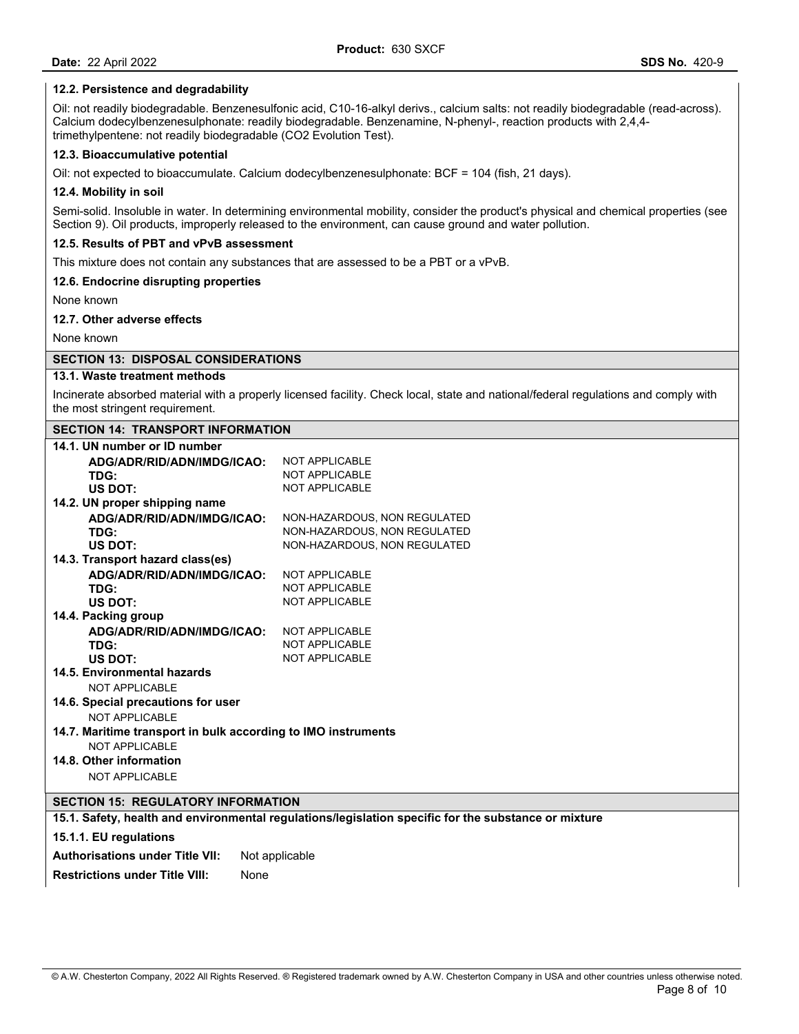### **12.2. Persistence and degradability**

Oil: not readily biodegradable. Benzenesulfonic acid, C10-16-alkyl derivs., calcium salts: not readily biodegradable (read-across). Calcium dodecylbenzenesulphonate: readily biodegradable. Benzenamine, N-phenyl-, reaction products with 2,4,4 trimethylpentene: not readily biodegradable (CO2 Evolution Test).

### **12.3. Bioaccumulative potential**

Oil: not expected to bioaccumulate. Calcium dodecylbenzenesulphonate: BCF = 104 (fish, 21 days).

#### **12.4. Mobility in soil**

Semi-solid. Insoluble in water. In determining environmental mobility, consider the product's physical and chemical properties (see Section 9). Oil products, improperly released to the environment, can cause ground and water pollution.

# **12.5. Results of PBT and vPvB assessment**

This mixture does not contain any substances that are assessed to be a PBT or a vPvB.

#### **12.6. Endocrine disrupting properties**

None known

## **12.7. Other adverse effects**

None known

### **SECTION 13: DISPOSAL CONSIDERATIONS**

# **13.1. Waste treatment methods**

Incinerate absorbed material with a properly licensed facility. Check local, state and national/federal regulations and comply with the most stringent requirement.

| <b>SECTION 14: TRANSPORT INFORMATION</b>                      |                                                                                                      |  |  |  |
|---------------------------------------------------------------|------------------------------------------------------------------------------------------------------|--|--|--|
| 14.1. UN number or ID number                                  |                                                                                                      |  |  |  |
| ADG/ADR/RID/ADN/IMDG/ICAO:                                    | <b>NOT APPLICABLE</b>                                                                                |  |  |  |
| TDG:                                                          | NOT APPLICABLE                                                                                       |  |  |  |
| US DOT:                                                       | <b>NOT APPLICABLE</b>                                                                                |  |  |  |
| 14.2. UN proper shipping name                                 |                                                                                                      |  |  |  |
| ADG/ADR/RID/ADN/IMDG/ICAO:                                    | NON-HAZARDOUS, NON REGULATED                                                                         |  |  |  |
| TDG:                                                          | NON-HAZARDOUS, NON REGULATED                                                                         |  |  |  |
| US DOT:                                                       | NON-HAZARDOUS, NON REGULATED                                                                         |  |  |  |
| 14.3. Transport hazard class(es)                              |                                                                                                      |  |  |  |
| ADG/ADR/RID/ADN/IMDG/ICAO:                                    | <b>NOT APPLICABLE</b>                                                                                |  |  |  |
| TDG:                                                          | <b>NOT APPLICABLE</b>                                                                                |  |  |  |
| US DOT:                                                       | <b>NOT APPLICABLE</b>                                                                                |  |  |  |
| 14.4. Packing group                                           |                                                                                                      |  |  |  |
| ADG/ADR/RID/ADN/IMDG/ICAO:                                    | <b>NOT APPLICABLE</b>                                                                                |  |  |  |
| TDG:                                                          | NOT APPLICABLE                                                                                       |  |  |  |
| US DOT:                                                       | <b>NOT APPLICABLE</b>                                                                                |  |  |  |
| 14.5. Environmental hazards                                   |                                                                                                      |  |  |  |
| NOT APPLICABLE                                                |                                                                                                      |  |  |  |
| 14.6. Special precautions for user                            |                                                                                                      |  |  |  |
| NOT APPLICABLE                                                |                                                                                                      |  |  |  |
| 14.7. Maritime transport in bulk according to IMO instruments |                                                                                                      |  |  |  |
| NOT APPLICABLE                                                |                                                                                                      |  |  |  |
| 14.8. Other information                                       |                                                                                                      |  |  |  |
| <b>NOT APPLICABLE</b>                                         |                                                                                                      |  |  |  |
| <b>SECTION 15: REGULATORY INFORMATION</b>                     |                                                                                                      |  |  |  |
|                                                               | 15.1. Safety, health and environmental regulations/legislation specific for the substance or mixture |  |  |  |
| 15.1.1. EU regulations                                        |                                                                                                      |  |  |  |
| <b>Authorisations under Title VII:</b>                        | Not applicable                                                                                       |  |  |  |
| <b>Restrictions under Title VIII:</b>                         | None                                                                                                 |  |  |  |
|                                                               |                                                                                                      |  |  |  |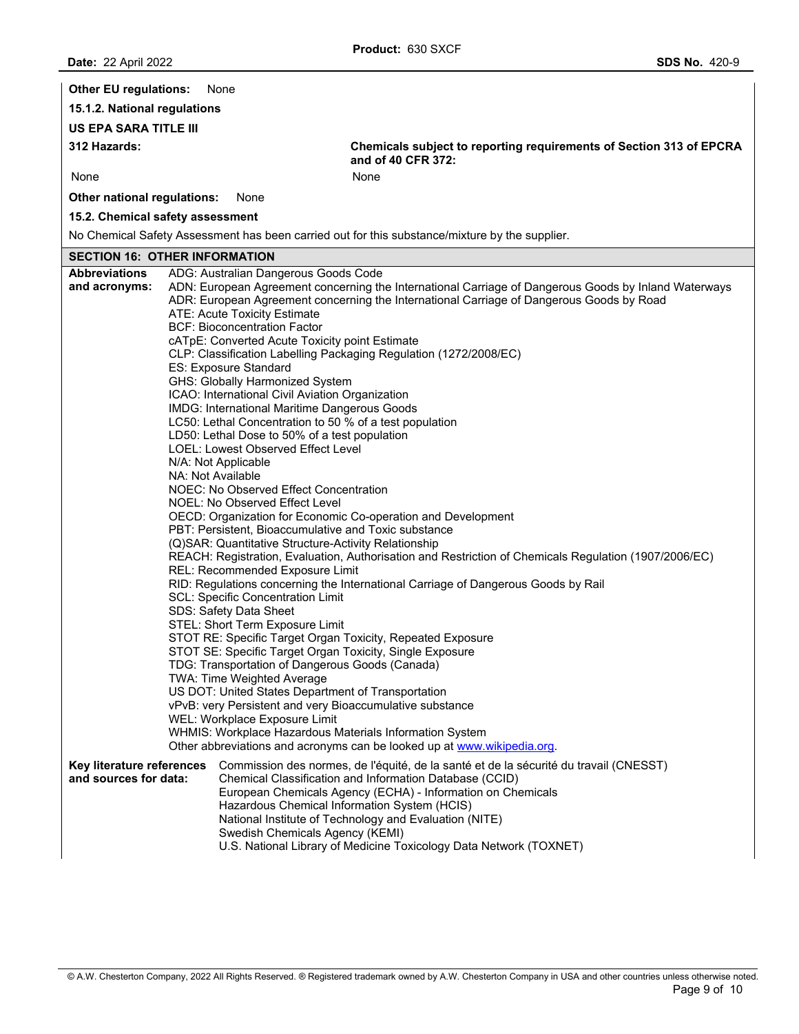| <b>Other EU regulations:</b>                       | None                                                                                                                                                                                                                                                                                                                                                                                                                                                                                                                                                                                                                                                                                                                                                                                                                                                                                                                                                                                                                                                                                                                                                                             |                                                                                                                                                                                                                                                                                                                                                                                                                                                                                                                                                                                                   |
|----------------------------------------------------|----------------------------------------------------------------------------------------------------------------------------------------------------------------------------------------------------------------------------------------------------------------------------------------------------------------------------------------------------------------------------------------------------------------------------------------------------------------------------------------------------------------------------------------------------------------------------------------------------------------------------------------------------------------------------------------------------------------------------------------------------------------------------------------------------------------------------------------------------------------------------------------------------------------------------------------------------------------------------------------------------------------------------------------------------------------------------------------------------------------------------------------------------------------------------------|---------------------------------------------------------------------------------------------------------------------------------------------------------------------------------------------------------------------------------------------------------------------------------------------------------------------------------------------------------------------------------------------------------------------------------------------------------------------------------------------------------------------------------------------------------------------------------------------------|
| 15.1.2. National regulations                       |                                                                                                                                                                                                                                                                                                                                                                                                                                                                                                                                                                                                                                                                                                                                                                                                                                                                                                                                                                                                                                                                                                                                                                                  |                                                                                                                                                                                                                                                                                                                                                                                                                                                                                                                                                                                                   |
| <b>US EPA SARA TITLE III</b>                       |                                                                                                                                                                                                                                                                                                                                                                                                                                                                                                                                                                                                                                                                                                                                                                                                                                                                                                                                                                                                                                                                                                                                                                                  |                                                                                                                                                                                                                                                                                                                                                                                                                                                                                                                                                                                                   |
| 312 Hazards:                                       |                                                                                                                                                                                                                                                                                                                                                                                                                                                                                                                                                                                                                                                                                                                                                                                                                                                                                                                                                                                                                                                                                                                                                                                  | Chemicals subject to reporting requirements of Section 313 of EPCRA<br>and of 40 CFR 372:                                                                                                                                                                                                                                                                                                                                                                                                                                                                                                         |
| None                                               |                                                                                                                                                                                                                                                                                                                                                                                                                                                                                                                                                                                                                                                                                                                                                                                                                                                                                                                                                                                                                                                                                                                                                                                  | None                                                                                                                                                                                                                                                                                                                                                                                                                                                                                                                                                                                              |
| Other national regulations:                        | None                                                                                                                                                                                                                                                                                                                                                                                                                                                                                                                                                                                                                                                                                                                                                                                                                                                                                                                                                                                                                                                                                                                                                                             |                                                                                                                                                                                                                                                                                                                                                                                                                                                                                                                                                                                                   |
| 15.2. Chemical safety assessment                   |                                                                                                                                                                                                                                                                                                                                                                                                                                                                                                                                                                                                                                                                                                                                                                                                                                                                                                                                                                                                                                                                                                                                                                                  |                                                                                                                                                                                                                                                                                                                                                                                                                                                                                                                                                                                                   |
|                                                    |                                                                                                                                                                                                                                                                                                                                                                                                                                                                                                                                                                                                                                                                                                                                                                                                                                                                                                                                                                                                                                                                                                                                                                                  | No Chemical Safety Assessment has been carried out for this substance/mixture by the supplier.                                                                                                                                                                                                                                                                                                                                                                                                                                                                                                    |
| <b>SECTION 16: OTHER INFORMATION</b>               |                                                                                                                                                                                                                                                                                                                                                                                                                                                                                                                                                                                                                                                                                                                                                                                                                                                                                                                                                                                                                                                                                                                                                                                  |                                                                                                                                                                                                                                                                                                                                                                                                                                                                                                                                                                                                   |
| <b>Abbreviations</b><br>and acronyms:              | ADG: Australian Dangerous Goods Code<br>ATE: Acute Toxicity Estimate<br><b>BCF: Bioconcentration Factor</b><br>cATpE: Converted Acute Toxicity point Estimate<br>ES: Exposure Standard<br>GHS: Globally Harmonized System<br>ICAO: International Civil Aviation Organization<br>IMDG: International Maritime Dangerous Goods<br>LC50: Lethal Concentration to 50 % of a test population<br>LD50: Lethal Dose to 50% of a test population<br><b>LOEL: Lowest Observed Effect Level</b><br>N/A: Not Applicable<br>NA: Not Available<br>NOEC: No Observed Effect Concentration<br>NOEL: No Observed Effect Level<br>PBT: Persistent, Bioaccumulative and Toxic substance<br>(Q)SAR: Quantitative Structure-Activity Relationship<br>REL: Recommended Exposure Limit<br><b>SCL: Specific Concentration Limit</b><br>SDS: Safety Data Sheet<br>STEL: Short Term Exposure Limit<br>STOT SE: Specific Target Organ Toxicity, Single Exposure<br>TDG: Transportation of Dangerous Goods (Canada)<br><b>TWA: Time Weighted Average</b><br>US DOT: United States Department of Transportation<br>vPvB: very Persistent and very Bioaccumulative substance<br>WEL: Workplace Exposure Limit | ADN: European Agreement concerning the International Carriage of Dangerous Goods by Inland Waterways<br>ADR: European Agreement concerning the International Carriage of Dangerous Goods by Road<br>CLP: Classification Labelling Packaging Regulation (1272/2008/EC)<br>OECD: Organization for Economic Co-operation and Development<br>REACH: Registration, Evaluation, Authorisation and Restriction of Chemicals Regulation (1907/2006/EC)<br>RID: Regulations concerning the International Carriage of Dangerous Goods by Rail<br>STOT RE: Specific Target Organ Toxicity, Repeated Exposure |
|                                                    |                                                                                                                                                                                                                                                                                                                                                                                                                                                                                                                                                                                                                                                                                                                                                                                                                                                                                                                                                                                                                                                                                                                                                                                  | WHMIS: Workplace Hazardous Materials Information System<br>Other abbreviations and acronyms can be looked up at www.wikipedia.org.                                                                                                                                                                                                                                                                                                                                                                                                                                                                |
| Key literature references<br>and sources for data: | Swedish Chemicals Agency (KEMI)                                                                                                                                                                                                                                                                                                                                                                                                                                                                                                                                                                                                                                                                                                                                                                                                                                                                                                                                                                                                                                                                                                                                                  | Commission des normes, de l'équité, de la santé et de la sécurité du travail (CNESST)<br>Chemical Classification and Information Database (CCID)<br>European Chemicals Agency (ECHA) - Information on Chemicals<br>Hazardous Chemical Information System (HCIS)<br>National Institute of Technology and Evaluation (NITE)<br>U.S. National Library of Medicine Toxicology Data Network (TOXNET)                                                                                                                                                                                                   |